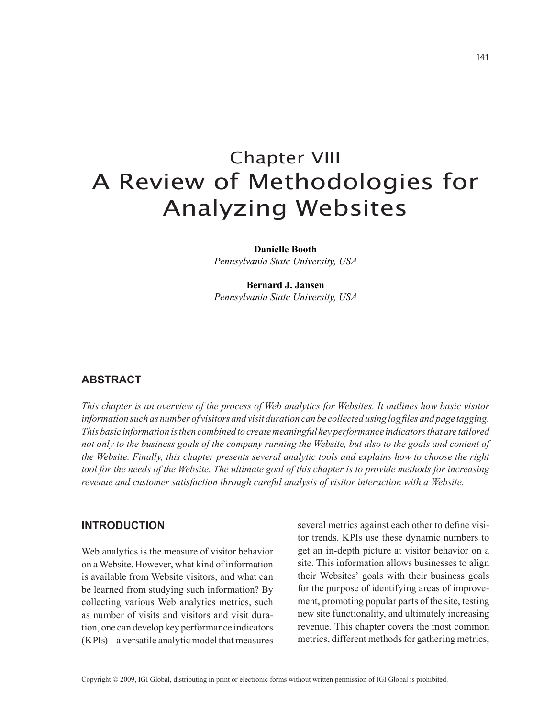# Chapter VIII A Review of Methodologies for Analyzing Websites

**Danielle Booth** *Pennsylvania State University, USA*

**Bernard J. Jansen** *Pennsylvania State University, USA*

## **Abstract**

*This chapter is an overview of the process of Web analytics for Websites. It outlines how basic visitor information such as number of visitors and visit duration can be collected using log files and page tagging. This basic information is then combined to create meaningful key performance indicators that are tailored not only to the business goals of the company running the Website, but also to the goals and content of the Website. Finally, this chapter presents several analytic tools and explains how to choose the right tool for the needs of the Website. The ultimate goal of this chapter is to provide methods for increasing revenue and customer satisfaction through careful analysis of visitor interaction with a Website.*

#### **INTRODUCTION**

Web analytics is the measure of visitor behavior on a Website. However, what kind of information is available from Website visitors, and what can be learned from studying such information? By collecting various Web analytics metrics, such as number of visits and visitors and visit duration, one can develop key performance indicators (KPIs) – a versatile analytic model that measures

several metrics against each other to define visitor trends. KPIs use these dynamic numbers to get an in-depth picture at visitor behavior on a site. This information allows businesses to align their Websites' goals with their business goals for the purpose of identifying areas of improvement, promoting popular parts of the site, testing new site functionality, and ultimately increasing revenue. This chapter covers the most common metrics, different methods for gathering metrics,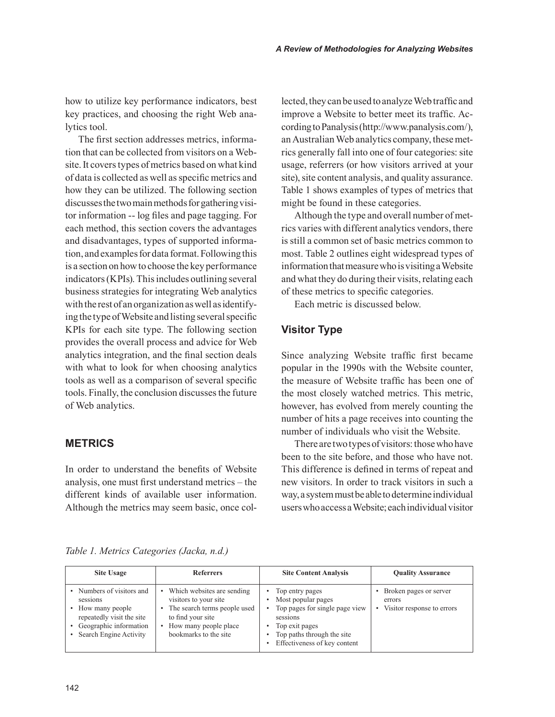how to utilize key performance indicators, best key practices, and choosing the right Web analytics tool.

The first section addresses metrics, information that can be collected from visitors on a Website. It covers types of metrics based on what kind of data is collected as well as specific metrics and how they can be utilized. The following section discusses the two main methods for gathering visitor information -- log files and page tagging. For each method, this section covers the advantages and disadvantages, types of supported information, and examples for data format. Following this is a section on how to choose the key performance indicators (KPIs). This includes outlining several business strategies for integrating Web analytics with the rest of an organization as well as identifying the type of Website and listing several specific KPIs for each site type. The following section provides the overall process and advice for Web analytics integration, and the final section deals with what to look for when choosing analytics tools as well as a comparison of several specific tools. Finally, the conclusion discusses the future of Web analytics.

## **METRICS**

In order to understand the benefits of Website analysis, one must first understand metrics – the different kinds of available user information. Although the metrics may seem basic, once collected, they can be used to analyze Web traffic and improve a Website to better meet its traffic. According to Panalysis (http://www.panalysis.com/), an Australian Web analytics company, these metrics generally fall into one of four categories: site usage, referrers (or how visitors arrived at your site), site content analysis, and quality assurance. Table 1 shows examples of types of metrics that might be found in these categories.

Although the type and overall number of metrics varies with different analytics vendors, there is still a common set of basic metrics common to most. Table 2 outlines eight widespread types of information that measure who is visiting a Website and what they do during their visits, relating each of these metrics to specific categories.

Each metric is discussed below.

#### **Visitor Type**

Since analyzing Website traffic first became popular in the 1990s with the Website counter, the measure of Website traffic has been one of the most closely watched metrics. This metric, however, has evolved from merely counting the number of hits a page receives into counting the number of individuals who visit the Website.

There are two types of visitors: those who have been to the site before, and those who have not. This difference is defined in terms of repeat and new visitors. In order to track visitors in such a way, a system must be able to determine individual users who access a Website; each individual visitor

*Table 1. Metrics Categories (Jacka, n.d.)*

| <b>Site Usage</b>                                                                                                                       | <b>Referrers</b>                                                                                                                                           | <b>Site Content Analysis</b>                                                                                                                                                  | <b>Quality Assurance</b>                                            |
|-----------------------------------------------------------------------------------------------------------------------------------------|------------------------------------------------------------------------------------------------------------------------------------------------------------|-------------------------------------------------------------------------------------------------------------------------------------------------------------------------------|---------------------------------------------------------------------|
| Numbers of visitors and<br>sessions<br>How many people<br>repeatedly visit the site<br>Geographic information<br>Search Engine Activity | Which websites are sending<br>visitors to your site<br>The search terms people used<br>to find your site<br>How many people place<br>bookmarks to the site | Top entry pages<br>٠<br>Most popular pages<br>Top pages for single page view<br>٠<br>sessions<br>Top exit pages<br>Top paths through the site<br>Effectiveness of key content | Broken pages or server<br>errors<br>Visitor response to errors<br>٠ |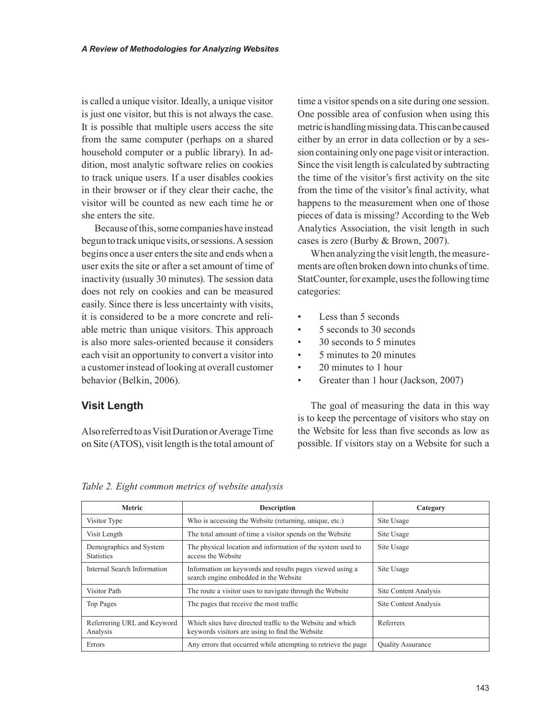is called a unique visitor. Ideally, a unique visitor is just one visitor, but this is not always the case. It is possible that multiple users access the site from the same computer (perhaps on a shared household computer or a public library). In addition, most analytic software relies on cookies to track unique users. If a user disables cookies in their browser or if they clear their cache, the visitor will be counted as new each time he or she enters the site.

Because of this, some companies have instead begun to track unique visits, or sessions. A session begins once a user enters the site and ends when a user exits the site or after a set amount of time of inactivity (usually 30 minutes). The session data does not rely on cookies and can be measured easily. Since there is less uncertainty with visits, it is considered to be a more concrete and reliable metric than unique visitors. This approach is also more sales-oriented because it considers each visit an opportunity to convert a visitor into a customer instead of looking at overall customer behavior (Belkin, 2006).

time a visitor spends on a site during one session. One possible area of confusion when using this metric is handling missing data. This can be caused either by an error in data collection or by a session containing only one page visit or interaction. Since the visit length is calculated by subtracting the time of the visitor's first activity on the site from the time of the visitor's final activity, what happens to the measurement when one of those pieces of data is missing? According to the Web Analytics Association, the visit length in such cases is zero (Burby & Brown, 2007).

When analyzing the visit length, the measurements are often broken down into chunks of time. StatCounter, for example, uses the following time categories:

- Less than 5 seconds
- 5 seconds to 30 seconds
- 30 seconds to 5 minutes
- 5 minutes to 20 minutes
- 20 minutes to 1 hour
- Greater than 1 hour (Jackson, 2007)

## **Visit Length**

Also referred to as Visit Duration or Average Time on Site (ATOS), visit length is the total amount of

The goal of measuring the data in this way is to keep the percentage of visitors who stay on the Website for less than five seconds as low as possible. If visitors stay on a Website for such a

**Metric Category Category Category Category Category Category** Visitor Type Who is accessing the Website (returning, unique, etc.) Site Usage Visit Length The total amount of time a visitor spends on the Website Site Usage Demographics and System **Statistics** The physical location and information of the system used to access the Website Site Usage Internal Search Information Information on keywords and results pages viewed using a search engine embedded in the Website Site Usage Visitor Path The route a visitor uses to navigate through the Website Site Content Analysis Top Pages The pages that receive the most traffic Site Content Analysis Referrering URL and Keyword Analysis Which sites have directed traffic to the Website and which keywords visitors are using to find the Website Referrers Errors Any errors that occurred while attempting to retrieve the page Quality Assurance

*Table 2. Eight common metrics of website analysis*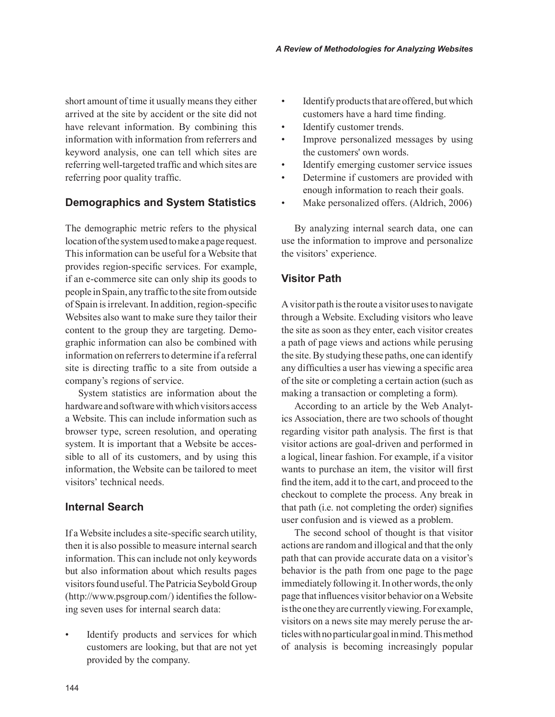short amount of time it usually means they either arrived at the site by accident or the site did not have relevant information. By combining this information with information from referrers and keyword analysis, one can tell which sites are referring well-targeted traffic and which sites are referring poor quality traffic.

## **Demographics and System Statistics**

The demographic metric refers to the physical location of the system used to make a page request. This information can be useful for a Website that provides region-specific services. For example, if an e-commerce site can only ship its goods to people in Spain, any traffic to the site from outside of Spain is irrelevant. In addition, region-specific Websites also want to make sure they tailor their content to the group they are targeting. Demographic information can also be combined with information on referrers to determine if a referral site is directing traffic to a site from outside a company's regions of service.

System statistics are information about the hardware and software with which visitors access a Website. This can include information such as browser type, screen resolution, and operating system. It is important that a Website be accessible to all of its customers, and by using this information, the Website can be tailored to meet visitors' technical needs.

## **Internal Search**

If a Website includes a site-specific search utility, then it is also possible to measure internal search information. This can include not only keywords but also information about which results pages visitors found useful. The Patricia Seybold Group (http://www.psgroup.com/) identifies the following seven uses for internal search data:

Identify products and services for which customers are looking, but that are not yet provided by the company.

- Identify products that are offered, but which customers have a hard time finding.
- Identify customer trends.
- Improve personalized messages by using the customers' own words.
- Identify emerging customer service issues
- Determine if customers are provided with enough information to reach their goals.
- Make personalized offers. (Aldrich, 2006)

By analyzing internal search data, one can use the information to improve and personalize the visitors' experience.

## **Visitor Path**

A visitor path is the route a visitor uses to navigate through a Website. Excluding visitors who leave the site as soon as they enter, each visitor creates a path of page views and actions while perusing the site. By studying these paths, one can identify any difficulties a user has viewing a specific area of the site or completing a certain action (such as making a transaction or completing a form).

According to an article by the Web Analytics Association, there are two schools of thought regarding visitor path analysis. The first is that visitor actions are goal-driven and performed in a logical, linear fashion. For example, if a visitor wants to purchase an item, the visitor will first find the item, add it to the cart, and proceed to the checkout to complete the process. Any break in that path (i.e. not completing the order) signifies user confusion and is viewed as a problem.

The second school of thought is that visitor actions are random and illogical and that the only path that can provide accurate data on a visitor's behavior is the path from one page to the page immediately following it. In other words, the only page that influences visitor behavior on a Website is the one they are currently viewing. For example, visitors on a news site may merely peruse the articles with no particular goal in mind. This method of analysis is becoming increasingly popular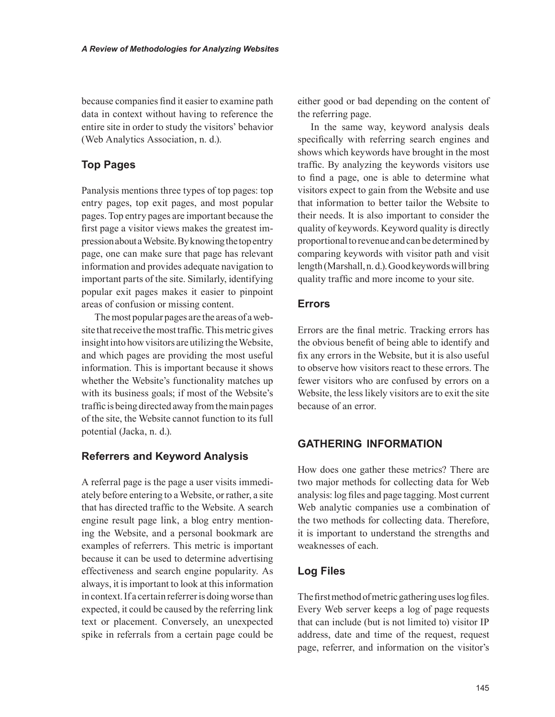because companies find it easier to examine path data in context without having to reference the entire site in order to study the visitors' behavior (Web Analytics Association, n. d.).

# **Top Pages**

Panalysis mentions three types of top pages: top entry pages, top exit pages, and most popular pages. Top entry pages are important because the first page a visitor views makes the greatest impression about a Website. By knowing the top entry page, one can make sure that page has relevant information and provides adequate navigation to important parts of the site. Similarly, identifying popular exit pages makes it easier to pinpoint areas of confusion or missing content.

The most popular pages are the areas of a website that receive the most traffic. This metric gives insight into how visitors are utilizing the Website, and which pages are providing the most useful information. This is important because it shows whether the Website's functionality matches up with its business goals; if most of the Website's traffic is being directed away from the main pages of the site, the Website cannot function to its full potential (Jacka, n. d.).

# **Referrers and Keyword Analysis**

A referral page is the page a user visits immediately before entering to a Website, or rather, a site that has directed traffic to the Website. A search engine result page link, a blog entry mentioning the Website, and a personal bookmark are examples of referrers. This metric is important because it can be used to determine advertising effectiveness and search engine popularity. As always, it is important to look at this information in context. If a certain referrer is doing worse than expected, it could be caused by the referring link text or placement. Conversely, an unexpected spike in referrals from a certain page could be

either good or bad depending on the content of the referring page.

In the same way, keyword analysis deals specifically with referring search engines and shows which keywords have brought in the most traffic. By analyzing the keywords visitors use to find a page, one is able to determine what visitors expect to gain from the Website and use that information to better tailor the Website to their needs. It is also important to consider the quality of keywords. Keyword quality is directly proportional to revenue and can be determined by comparing keywords with visitor path and visit length (Marshall, n. d.). Good keywords will bring quality traffic and more income to your site.

# **Errors**

Errors are the final metric. Tracking errors has the obvious benefit of being able to identify and fix any errors in the Website, but it is also useful to observe how visitors react to these errors. The fewer visitors who are confused by errors on a Website, the less likely visitors are to exit the site because of an error.

# **GATHERING INFORMATION**

How does one gather these metrics? There are two major methods for collecting data for Web analysis: log files and page tagging. Most current Web analytic companies use a combination of the two methods for collecting data. Therefore, it is important to understand the strengths and weaknesses of each.

# **Log Files**

The first method of metric gathering uses log files. Every Web server keeps a log of page requests that can include (but is not limited to) visitor IP address, date and time of the request, request page, referrer, and information on the visitor's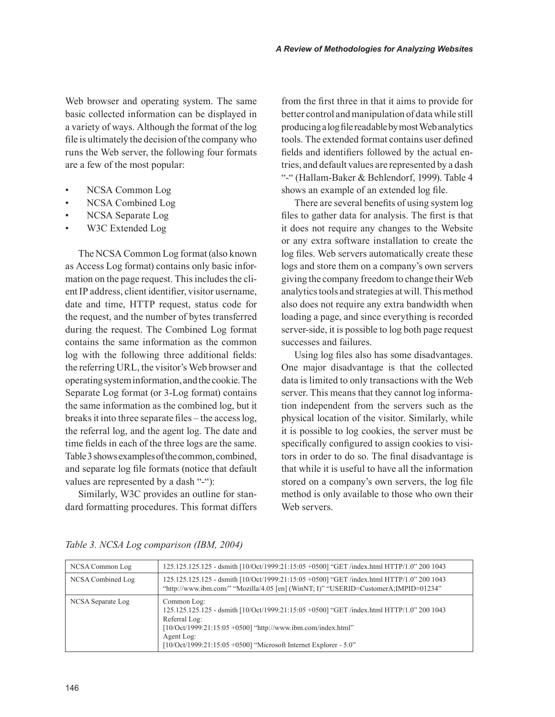Web browser and operating system. The same basic collected information can be displayed in a variety of ways. Although the format of the log file is ultimately the decision of the company who runs the Web server, the following four formats are a few of the most popular:

- NCSA Common Log
- NCSA Combined Log
- NCSA Separate Log
- W3C Extended Log

The NCSA Common Log format (also known as Access Log format) contains only basic information on the page request. This includes the client IP address, client identifier, visitor username, date and time, HTTP request, status code for the request, and the number of bytes transferred during the request. The Combined Log format contains the same information as the common log with the following three additional fields: the referring URL, the visitor's Web browser and operating system information, and the cookie. The Separate Log format (or 3-Log format) contains the same information as the combined log, but it breaks it into three separate files – the access log, the referral log, and the agent log. The date and time fields in each of the three logs are the same. Table 3 shows examples of the common, combined, and separate log file formats (notice that default values are represented by a dash "-"):

Similarly, W3C provides an outline for standard formatting procedures. This format differs from the first three in that it aims to provide for better control and manipulation of data while still producing a log file readable by most Web analytics tools. The extended format contains user defined fields and identifiers followed by the actual entries, and default values are represented by a dash "-" (Hallam-Baker & Behlendorf, 1999). Table 4 shows an example of an extended log file.

There are several benefits of using system log files to gather data for analysis. The first is that it does not require any changes to the Website or any extra software installation to create the log files. Web servers automatically create these logs and store them on a company's own servers giving the company freedom to change their Web analytics tools and strategies at will. This method also does not require any extra bandwidth when loading a page, and since everything is recorded server-side, it is possible to log both page request successes and failures.

Using log files also has some disadvantages. One major disadvantage is that the collected data is limited to only transactions with the Web server. This means that they cannot log information independent from the servers such as the physical location of the visitor. Similarly, while it is possible to log cookies, the server must be specifically configured to assign cookies to visitors in order to do so. The final disadvantage is that while it is useful to have all the information stored on a company's own servers, the log file method is only available to those who own their Web servers.

| NCSA Common Log   | 125.125.125 - dsmith [10/Oct/1999:21:15:05 +0500] "GET /index.html HTTP/1.0" 200 1043                                                                                                                                                                                     |
|-------------------|---------------------------------------------------------------------------------------------------------------------------------------------------------------------------------------------------------------------------------------------------------------------------|
| NCSA Combined Log | 125.125.125.125 - dsmith [10/Oct/1999:21:15:05 +0500] "GET /index.html HTTP/1.0" 200 1043<br>"http://www.ibm.com/" "Mozilla/4.05 [en] (WinNT; I)" "USERID=CustomerA;IMPID=01234"                                                                                          |
| NCSA Separate Log | Common Log:<br>125.125.125 - dsmith [10/Oct/1999:21:15:05 +0500] "GET /index.html HTTP/1.0" 200 1043<br>Referral Log:<br>$[10/Oct/1999:21:15:05 +0500]$ "http://www.ibm.com/index.html"<br>Agent Log:<br>[10/Oct/1999:21:15:05 +0500] "Microsoft Internet Explorer - 5.0" |

*Table 3. NCSA Log comparison (IBM, 2004)*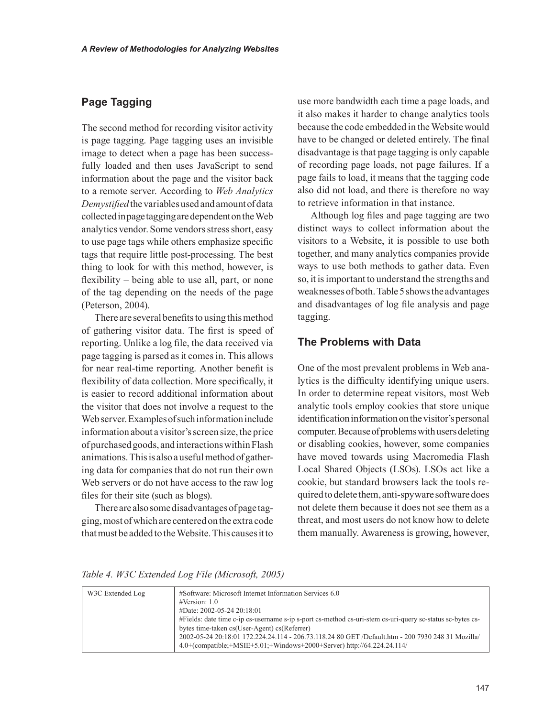# **Page Tagging**

The second method for recording visitor activity is page tagging. Page tagging uses an invisible image to detect when a page has been successfully loaded and then uses JavaScript to send information about the page and the visitor back to a remote server. According to *Web Analytics Demystified* the variables used and amount of data collected in page tagging are dependent on the Web analytics vendor. Some vendors stress short, easy to use page tags while others emphasize specific tags that require little post-processing. The best thing to look for with this method, however, is flexibility – being able to use all, part, or none of the tag depending on the needs of the page (Peterson, 2004).

There are several benefits to using this method of gathering visitor data. The first is speed of reporting. Unlike a log file, the data received via page tagging is parsed as it comes in. This allows for near real-time reporting. Another benefit is flexibility of data collection. More specifically, it is easier to record additional information about the visitor that does not involve a request to the Web server. Examples of such information include information about a visitor's screen size, the price of purchased goods, and interactions within Flash animations. This is also a useful method of gathering data for companies that do not run their own Web servers or do not have access to the raw log files for their site (such as blogs).

There are also some disadvantages of page tagging, most of which are centered on the extra code that must be added to the Website. This causes it to use more bandwidth each time a page loads, and it also makes it harder to change analytics tools because the code embedded in the Website would have to be changed or deleted entirely. The final disadvantage is that page tagging is only capable of recording page loads, not page failures. If a page fails to load, it means that the tagging code also did not load, and there is therefore no way to retrieve information in that instance.

Although log files and page tagging are two distinct ways to collect information about the visitors to a Website, it is possible to use both together, and many analytics companies provide ways to use both methods to gather data. Even so, it is important to understand the strengths and weaknesses of both. Table 5 shows the advantages and disadvantages of log file analysis and page tagging.

## **The Problems with Data**

One of the most prevalent problems in Web analytics is the difficulty identifying unique users. In order to determine repeat visitors, most Web analytic tools employ cookies that store unique identification information on the visitor's personal computer. Because of problems with users deleting or disabling cookies, however, some companies have moved towards using Macromedia Flash Local Shared Objects (LSOs). LSOs act like a cookie, but standard browsers lack the tools required to delete them, anti-spyware software does not delete them because it does not see them as a threat, and most users do not know how to delete them manually. Awareness is growing, however,

| W3C Extended Log | #Software: Microsoft Internet Information Services 6.0<br>$\#Version: 1.0$<br>#Date: 2002-05-24 20:18:01<br>#Fields: date time c-ip cs-username s-ip s-port cs-method cs-uri-stem cs-uri-query sc-status sc-bytes cs-<br>bytes time-taken cs(User-Agent) cs(Referrer)<br>2002-05-24 20:18:01 172.224.24.114 - 206.73.118.24 80 GET/Default.htm - 200 7930 248 31 Mozilla |
|------------------|--------------------------------------------------------------------------------------------------------------------------------------------------------------------------------------------------------------------------------------------------------------------------------------------------------------------------------------------------------------------------|
|                  | $4.0+$ (compatible; +MSIE+5.01; +Windows+2000+Server) http://64.224.24.114/                                                                                                                                                                                                                                                                                              |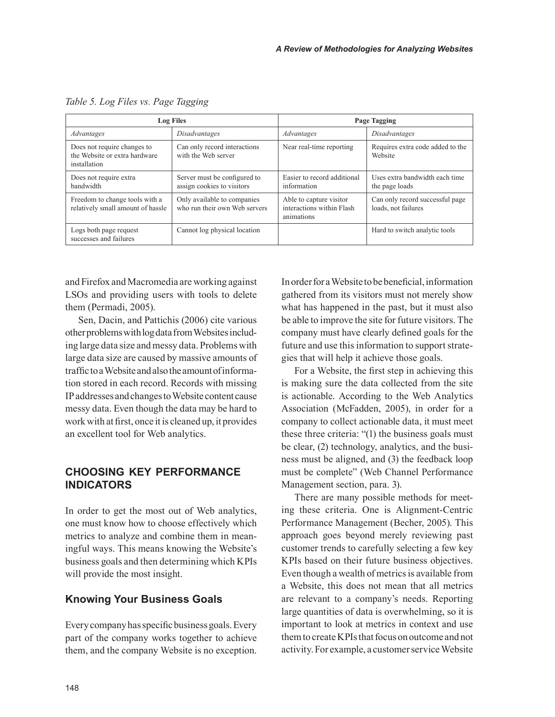| <b>Log Files</b>                                                                                                                    |                                                            | <b>Page Tagging</b>                                                |                                                        |
|-------------------------------------------------------------------------------------------------------------------------------------|------------------------------------------------------------|--------------------------------------------------------------------|--------------------------------------------------------|
| Advantages                                                                                                                          | Disadvantages                                              | Advantages                                                         | Disadvantages                                          |
| Does not require changes to<br>the Website or extra hardware<br>installation                                                        | Can only record interactions<br>with the Web server        | Near real-time reporting                                           | Requires extra code added to the<br>Website            |
| Does not require extra<br>bandwidth                                                                                                 | Server must be configured to<br>assign cookies to visitors | Easier to record additional<br>information                         | Uses extra bandwidth each time<br>the page loads       |
| Only available to companies<br>Freedom to change tools with a<br>relatively small amount of hassle<br>who run their own Web servers |                                                            | Able to capture visitor<br>interactions within Flash<br>animations | Can only record successful page<br>loads, not failures |
| Logs both page request<br>successes and failures                                                                                    | Cannot log physical location                               |                                                                    | Hard to switch analytic tools                          |

| Table 5. Log Files vs. Page Tagging |  |  |
|-------------------------------------|--|--|
|-------------------------------------|--|--|

and Firefox and Macromedia are working against LSOs and providing users with tools to delete them (Permadi, 2005).

Sen, Dacin, and Pattichis (2006) cite various other problems with log data from Websites including large data size and messy data. Problems with large data size are caused by massive amounts of traffic to a Website and also the amount of information stored in each record. Records with missing IP addresses and changes to Website content cause messy data. Even though the data may be hard to work with at first, once it is cleaned up, it provides an excellent tool for Web analytics.

# **CHOOSING KEY PERFORMANCE INDICATORS**

In order to get the most out of Web analytics, one must know how to choose effectively which metrics to analyze and combine them in meaningful ways. This means knowing the Website's business goals and then determining which KPIs will provide the most insight.

# **Knowing Your Business Goals**

Every company has specific business goals. Every part of the company works together to achieve them, and the company Website is no exception. In order for a Website to be beneficial, information gathered from its visitors must not merely show what has happened in the past, but it must also be able to improve the site for future visitors. The company must have clearly defined goals for the future and use this information to support strategies that will help it achieve those goals.

For a Website, the first step in achieving this is making sure the data collected from the site is actionable. According to the Web Analytics Association (McFadden, 2005), in order for a company to collect actionable data, it must meet these three criteria: "(1) the business goals must be clear, (2) technology, analytics, and the business must be aligned, and (3) the feedback loop must be complete" (Web Channel Performance Management section, para. 3).

There are many possible methods for meeting these criteria. One is Alignment-Centric Performance Management (Becher, 2005). This approach goes beyond merely reviewing past customer trends to carefully selecting a few key KPIs based on their future business objectives. Even though a wealth of metrics is available from a Website, this does not mean that all metrics are relevant to a company's needs. Reporting large quantities of data is overwhelming, so it is important to look at metrics in context and use them to create KPIs that focus on outcome and not activity. For example, a customer service Website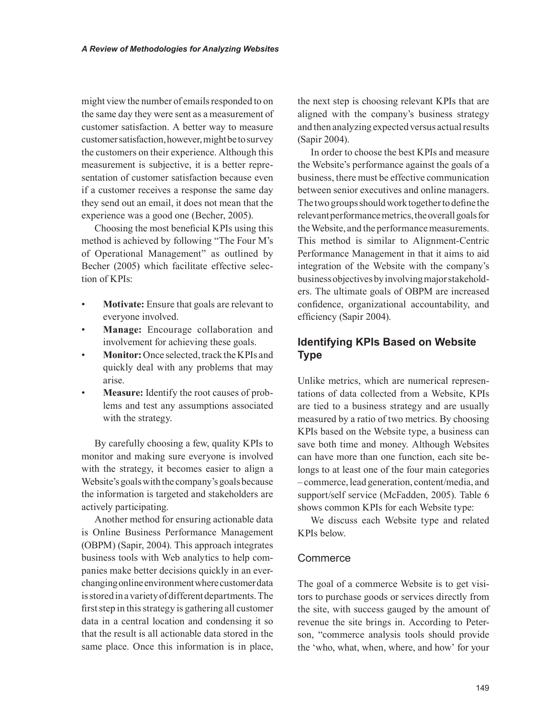might view the number of emails responded to on the same day they were sent as a measurement of customer satisfaction. A better way to measure customer satisfaction, however, might be to survey the customers on their experience. Although this measurement is subjective, it is a better representation of customer satisfaction because even if a customer receives a response the same day they send out an email, it does not mean that the experience was a good one (Becher, 2005).

Choosing the most beneficial KPIs using this method is achieved by following "The Four M's of Operational Management" as outlined by Becher (2005) which facilitate effective selection of KPIs:

- **Motivate:** Ensure that goals are relevant to everyone involved.
- **Manage:** Encourage collaboration and involvement for achieving these goals.
- **Monitor:** Once selected, track the KPIs and quickly deal with any problems that may arise.
- **Measure:** Identify the root causes of problems and test any assumptions associated with the strategy.

By carefully choosing a few, quality KPIs to monitor and making sure everyone is involved with the strategy, it becomes easier to align a Website's goals with the company's goals because the information is targeted and stakeholders are actively participating.

Another method for ensuring actionable data is Online Business Performance Management (OBPM) (Sapir, 2004). This approach integrates business tools with Web analytics to help companies make better decisions quickly in an everchanging online environment where customer data is stored in a variety of different departments. The first step in this strategy is gathering all customer data in a central location and condensing it so that the result is all actionable data stored in the same place. Once this information is in place, the next step is choosing relevant KPIs that are aligned with the company's business strategy and then analyzing expected versus actual results (Sapir 2004).

In order to choose the best KPIs and measure the Website's performance against the goals of a business, there must be effective communication between senior executives and online managers. The two groups should work together to define the relevant performance metrics, the overall goals for the Website, and the performance measurements. This method is similar to Alignment-Centric Performance Management in that it aims to aid integration of the Website with the company's business objectives by involving major stakeholders. The ultimate goals of OBPM are increased confidence, organizational accountability, and efficiency (Sapir 2004).

# **Identifying KPIs Based on Website Type**

Unlike metrics, which are numerical representations of data collected from a Website, KPIs are tied to a business strategy and are usually measured by a ratio of two metrics. By choosing KPIs based on the Website type, a business can save both time and money. Although Websites can have more than one function, each site belongs to at least one of the four main categories – commerce, lead generation, content/media, and support/self service (McFadden, 2005). Table 6 shows common KPIs for each Website type:

We discuss each Website type and related KPIs below.

## **Commerce**

The goal of a commerce Website is to get visitors to purchase goods or services directly from the site, with success gauged by the amount of revenue the site brings in. According to Peterson, "commerce analysis tools should provide the 'who, what, when, where, and how' for your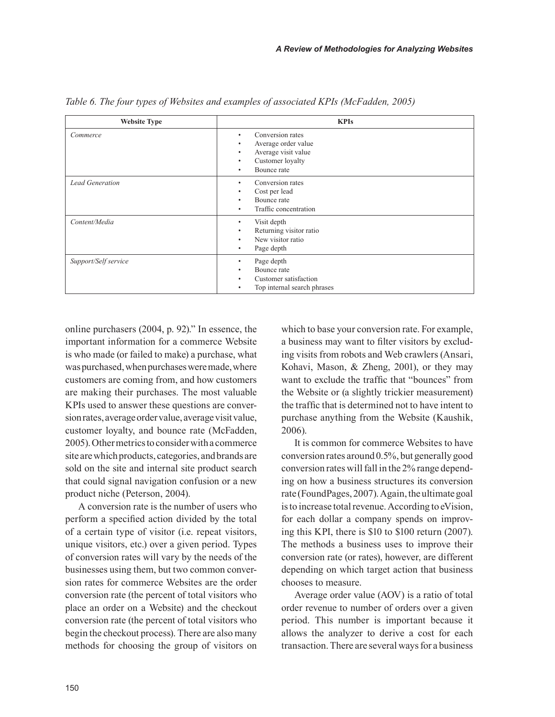| <b>Website Type</b>    | <b>KPIs</b>                                                                                            |
|------------------------|--------------------------------------------------------------------------------------------------------|
| Commerce               | Conversion rates<br>Average order value<br>Average visit value<br>Customer loyalty<br>٠<br>Bounce rate |
| <b>Lead Generation</b> | Conversion rates<br>٠<br>Cost per lead<br>Bounce rate<br>Traffic concentration                         |
| Content/Media          | Visit depth<br>٠<br>Returning visitor ratio<br>New visitor ratio<br>Page depth                         |
| Support/Self service   | Page depth<br>Bounce rate<br>Customer satisfaction<br>Top internal search phrases                      |

*Table 6. The four types of Websites and examples of associated KPIs (McFadden, 2005)*

online purchasers (2004, p. 92)." In essence, the important information for a commerce Website is who made (or failed to make) a purchase, what was purchased, when purchases were made, where customers are coming from, and how customers are making their purchases. The most valuable KPIs used to answer these questions are conversion rates, average order value, average visit value, customer loyalty, and bounce rate (McFadden, 2005). Other metrics to consider with a commerce site are which products, categories, and brands are sold on the site and internal site product search that could signal navigation confusion or a new product niche (Peterson, 2004).

A conversion rate is the number of users who perform a specified action divided by the total of a certain type of visitor (i.e. repeat visitors, unique visitors, etc.) over a given period. Types of conversion rates will vary by the needs of the businesses using them, but two common conversion rates for commerce Websites are the order conversion rate (the percent of total visitors who place an order on a Website) and the checkout conversion rate (the percent of total visitors who begin the checkout process). There are also many methods for choosing the group of visitors on which to base your conversion rate. For example, a business may want to filter visitors by excluding visits from robots and Web crawlers (Ansari, Kohavi, Mason, & Zheng, 2001), or they may want to exclude the traffic that "bounces" from the Website or (a slightly trickier measurement) the traffic that is determined not to have intent to purchase anything from the Website (Kaushik, 2006).

It is common for commerce Websites to have conversion rates around 0.5%, but generally good conversion rates will fall in the 2% range depending on how a business structures its conversion rate (FoundPages, 2007). Again, the ultimate goal is to increase total revenue. According to eVision, for each dollar a company spends on improving this KPI, there is \$10 to \$100 return (2007). The methods a business uses to improve their conversion rate (or rates), however, are different depending on which target action that business chooses to measure.

Average order value (AOV) is a ratio of total order revenue to number of orders over a given period. This number is important because it allows the analyzer to derive a cost for each transaction. There are several ways for a business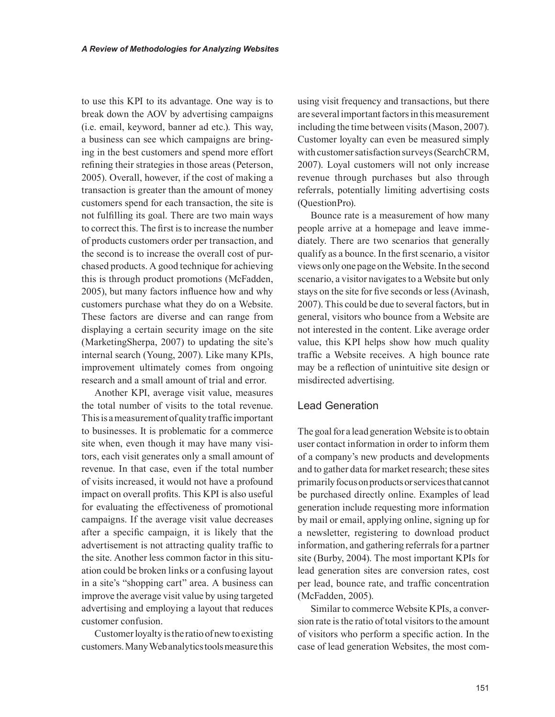to use this KPI to its advantage. One way is to break down the AOV by advertising campaigns (i.e. email, keyword, banner ad etc.). This way, a business can see which campaigns are bringing in the best customers and spend more effort refining their strategies in those areas (Peterson, 2005). Overall, however, if the cost of making a transaction is greater than the amount of money customers spend for each transaction, the site is not fulfilling its goal. There are two main ways to correct this. The first is to increase the number of products customers order per transaction, and the second is to increase the overall cost of purchased products. A good technique for achieving this is through product promotions (McFadden, 2005), but many factors influence how and why customers purchase what they do on a Website. These factors are diverse and can range from displaying a certain security image on the site (MarketingSherpa, 2007) to updating the site's internal search (Young, 2007). Like many KPIs, improvement ultimately comes from ongoing research and a small amount of trial and error.

Another KPI, average visit value, measures the total number of visits to the total revenue. This is a measurement of quality traffic important to businesses. It is problematic for a commerce site when, even though it may have many visitors, each visit generates only a small amount of revenue. In that case, even if the total number of visits increased, it would not have a profound impact on overall profits. This KPI is also useful for evaluating the effectiveness of promotional campaigns. If the average visit value decreases after a specific campaign, it is likely that the advertisement is not attracting quality traffic to the site. Another less common factor in this situation could be broken links or a confusing layout in a site's "shopping cart" area. A business can improve the average visit value by using targeted advertising and employing a layout that reduces customer confusion.

Customer loyalty is the ratio of new to existing customers. Many Web analytics tools measure this using visit frequency and transactions, but there are several important factors in this measurement including the time between visits (Mason, 2007). Customer loyalty can even be measured simply with customer satisfaction surveys (SearchCRM, 2007). Loyal customers will not only increase revenue through purchases but also through referrals, potentially limiting advertising costs (QuestionPro).

Bounce rate is a measurement of how many people arrive at a homepage and leave immediately. There are two scenarios that generally qualify as a bounce. In the first scenario, a visitor views only one page on the Website. In the second scenario, a visitor navigates to a Website but only stays on the site for five seconds or less (Avinash, 2007). This could be due to several factors, but in general, visitors who bounce from a Website are not interested in the content. Like average order value, this KPI helps show how much quality traffic a Website receives. A high bounce rate may be a reflection of unintuitive site design or misdirected advertising.

## Lead Generation

The goal for a lead generation Website is to obtain user contact information in order to inform them of a company's new products and developments and to gather data for market research; these sites primarily focus on products or services that cannot be purchased directly online. Examples of lead generation include requesting more information by mail or email, applying online, signing up for a newsletter, registering to download product information, and gathering referrals for a partner site (Burby, 2004). The most important KPIs for lead generation sites are conversion rates, cost per lead, bounce rate, and traffic concentration (McFadden, 2005).

Similar to commerce Website KPIs, a conversion rate is the ratio of total visitors to the amount of visitors who perform a specific action. In the case of lead generation Websites, the most com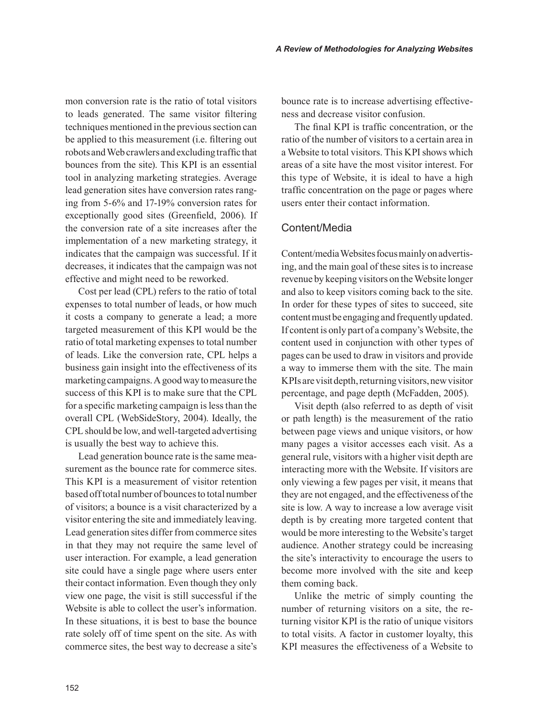mon conversion rate is the ratio of total visitors to leads generated. The same visitor filtering techniques mentioned in the previous section can be applied to this measurement (i.e. filtering out robots and Web crawlers and excluding traffic that bounces from the site). This KPI is an essential tool in analyzing marketing strategies. Average lead generation sites have conversion rates ranging from 5-6% and 17-19% conversion rates for exceptionally good sites (Greenfield, 2006). If the conversion rate of a site increases after the implementation of a new marketing strategy, it indicates that the campaign was successful. If it decreases, it indicates that the campaign was not effective and might need to be reworked.

Cost per lead (CPL) refers to the ratio of total expenses to total number of leads, or how much it costs a company to generate a lead; a more targeted measurement of this KPI would be the ratio of total marketing expenses to total number of leads. Like the conversion rate, CPL helps a business gain insight into the effectiveness of its marketing campaigns. A good way to measure the success of this KPI is to make sure that the CPL for a specific marketing campaign is less than the overall CPL (WebSideStory, 2004). Ideally, the CPL should be low, and well-targeted advertising is usually the best way to achieve this.

Lead generation bounce rate is the same measurement as the bounce rate for commerce sites. This KPI is a measurement of visitor retention based off total number of bounces to total number of visitors; a bounce is a visit characterized by a visitor entering the site and immediately leaving. Lead generation sites differ from commerce sites in that they may not require the same level of user interaction. For example, a lead generation site could have a single page where users enter their contact information. Even though they only view one page, the visit is still successful if the Website is able to collect the user's information. In these situations, it is best to base the bounce rate solely off of time spent on the site. As with commerce sites, the best way to decrease a site's bounce rate is to increase advertising effectiveness and decrease visitor confusion.

The final KPI is traffic concentration, or the ratio of the number of visitors to a certain area in a Website to total visitors. This KPI shows which areas of a site have the most visitor interest. For this type of Website, it is ideal to have a high traffic concentration on the page or pages where users enter their contact information.

#### *C*Content/Media

Content/media Websites focus mainly on advertising, and the main goal of these sites is to increase revenue by keeping visitors on the Website longer and also to keep visitors coming back to the site. In order for these types of sites to succeed, site content must be engaging and frequently updated. If content is only part of a company's Website, the content used in conjunction with other types of pages can be used to draw in visitors and provide a way to immerse them with the site. The main KPIs are visit depth, returning visitors, new visitor percentage, and page depth (McFadden, 2005).

Visit depth (also referred to as depth of visit or path length) is the measurement of the ratio between page views and unique visitors, or how many pages a visitor accesses each visit. As a general rule, visitors with a higher visit depth are interacting more with the Website. If visitors are only viewing a few pages per visit, it means that they are not engaged, and the effectiveness of the site is low. A way to increase a low average visit depth is by creating more targeted content that would be more interesting to the Website's target audience. Another strategy could be increasing the site's interactivity to encourage the users to become more involved with the site and keep them coming back.

Unlike the metric of simply counting the number of returning visitors on a site, the returning visitor KPI is the ratio of unique visitors to total visits. A factor in customer loyalty, this KPI measures the effectiveness of a Website to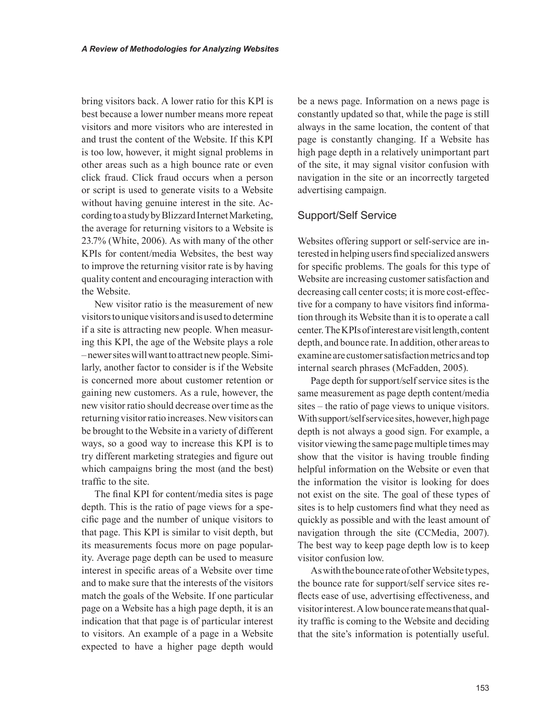bring visitors back. A lower ratio for this KPI is best because a lower number means more repeat visitors and more visitors who are interested in and trust the content of the Website. If this KPI is too low, however, it might signal problems in other areas such as a high bounce rate or even click fraud. Click fraud occurs when a person or script is used to generate visits to a Website without having genuine interest in the site. According to a study by Blizzard Internet Marketing, the average for returning visitors to a Website is 23.7% (White, 2006). As with many of the other KPIs for content/media Websites, the best way to improve the returning visitor rate is by having quality content and encouraging interaction with the Website.

New visitor ratio is the measurement of new visitors to unique visitors and is used to determine if a site is attracting new people. When measuring this KPI, the age of the Website plays a role – newer sites will want to attract new people. Similarly, another factor to consider is if the Website is concerned more about customer retention or gaining new customers. As a rule, however, the new visitor ratio should decrease over time as the returning visitor ratio increases. New visitors can be brought to the Website in a variety of different ways, so a good way to increase this KPI is to try different marketing strategies and figure out which campaigns bring the most (and the best) traffic to the site.

The final KPI for content/media sites is page depth. This is the ratio of page views for a specific page and the number of unique visitors to that page. This KPI is similar to visit depth, but its measurements focus more on page popularity. Average page depth can be used to measure interest in specific areas of a Website over time and to make sure that the interests of the visitors match the goals of the Website. If one particular page on a Website has a high page depth, it is an indication that that page is of particular interest to visitors. An example of a page in a Website expected to have a higher page depth would

be a news page. Information on a news page is constantly updated so that, while the page is still always in the same location, the content of that page is constantly changing. If a Website has high page depth in a relatively unimportant part of the site, it may signal visitor confusion with navigation in the site or an incorrectly targeted advertising campaign.

## Support/Self Service

Websites offering support or self-service are interested in helping users find specialized answers for specific problems. The goals for this type of Website are increasing customer satisfaction and decreasing call center costs; it is more cost-effective for a company to have visitors find information through its Website than it is to operate a call center. The KPIs of interest are visit length, content depth, and bounce rate. In addition, other areas to examine are customer satisfaction metrics and top internal search phrases (McFadden, 2005).

Page depth for support/self service sites is the same measurement as page depth content/media sites – the ratio of page views to unique visitors. With support/self service sites, however, high page depth is not always a good sign. For example, a visitor viewing the same page multiple times may show that the visitor is having trouble finding helpful information on the Website or even that the information the visitor is looking for does not exist on the site. The goal of these types of sites is to help customers find what they need as quickly as possible and with the least amount of navigation through the site (CCMedia, 2007). The best way to keep page depth low is to keep visitor confusion low.

As with the bounce rate of other Website types, the bounce rate for support/self service sites reflects ease of use, advertising effectiveness, and visitor interest. A low bounce rate means that quality traffic is coming to the Website and deciding that the site's information is potentially useful.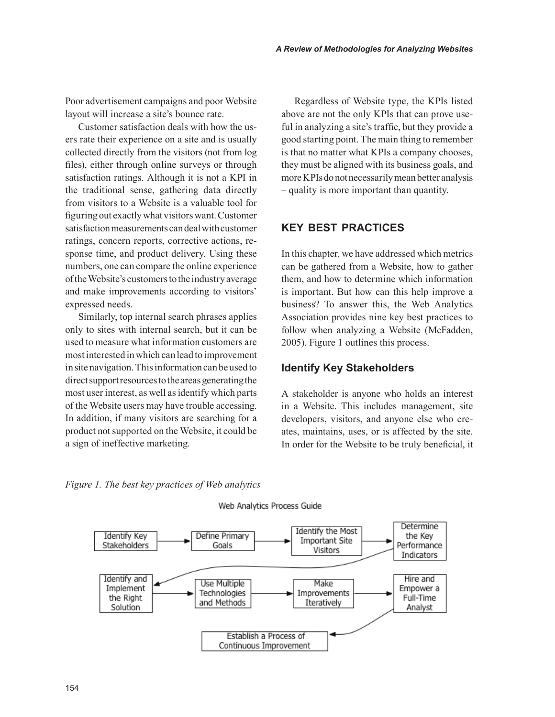Poor advertisement campaigns and poor Website layout will increase a site's bounce rate.

Customer satisfaction deals with how the users rate their experience on a site and is usually collected directly from the visitors (not from log files), either through online surveys or through satisfaction ratings. Although it is not a KPI in the traditional sense, gathering data directly from visitors to a Website is a valuable tool for figuring out exactly what visitors want. Customer satisfaction measurements can deal with customer ratings, concern reports, corrective actions, response time, and product delivery. Using these numbers, one can compare the online experience of the Website's customers to the industry average and make improvements according to visitors' expressed needs.

Similarly, top internal search phrases applies only to sites with internal search, but it can be used to measure what information customers are most interested in which can lead to improvement in site navigation. This information can be used to direct support resources to the areas generating the most user interest, as well as identify which parts of the Website users may have trouble accessing. In addition, if many visitors are searching for a product not supported on the Website, it could be a sign of ineffective marketing.

Regardless of Website type, the KPIs listed above are not the only KPIs that can prove useful in analyzing a site's traffic, but they provide a good starting point. The main thing to remember is that no matter what KPIs a company chooses, they must be aligned with its business goals, and more KPIs do not necessarily mean better analysis – quality is more important than quantity.

# **KEY BEST PRACTICES**

In this chapter, we have addressed which metrics can be gathered from a Website, how to gather them, and how to determine which information is important. But how can this help improve a business? To answer this, the Web Analytics Association provides nine key best practices to follow when analyzing a Website (McFadden, 2005). Figure 1 outlines this process.

# **Identify Key Stakeholders**

A stakeholder is anyone who holds an interest in a Website. This includes management, site developers, visitors, and anyone else who creates, maintains, uses, or is affected by the site. In order for the Website to be truly beneficial, it





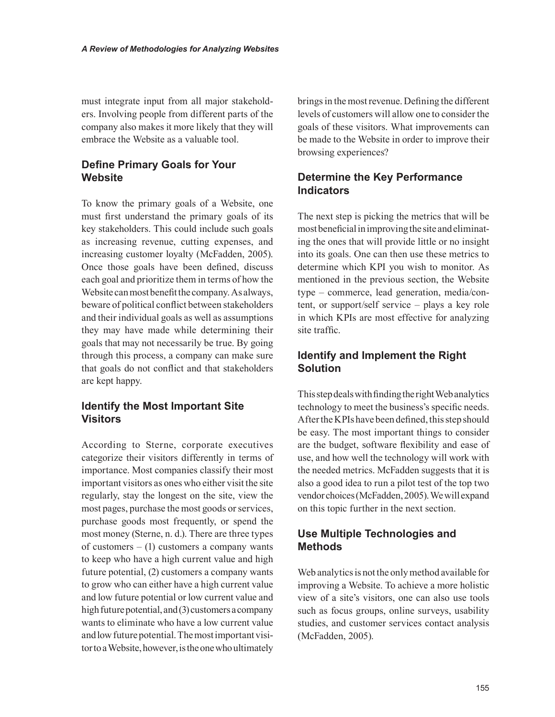must integrate input from all major stakeholders. Involving people from different parts of the company also makes it more likely that they will embrace the Website as a valuable tool.

# **Define Primary Goals for Your Website**

To know the primary goals of a Website, one must first understand the primary goals of its key stakeholders. This could include such goals as increasing revenue, cutting expenses, and increasing customer loyalty (McFadden, 2005). Once those goals have been defined, discuss each goal and prioritize them in terms of how the Website can most benefit the company. As always, beware of political conflict between stakeholders and their individual goals as well as assumptions they may have made while determining their goals that may not necessarily be true. By going through this process, a company can make sure that goals do not conflict and that stakeholders are kept happy.

# **Identify the Most Important Site Visitors**

According to Sterne, corporate executives categorize their visitors differently in terms of importance. Most companies classify their most important visitors as ones who either visit the site regularly, stay the longest on the site, view the most pages, purchase the most goods or services, purchase goods most frequently, or spend the most money (Sterne, n. d.). There are three types of customers  $- (1)$  customers a company wants to keep who have a high current value and high future potential, (2) customers a company wants to grow who can either have a high current value and low future potential or low current value and high future potential, and (3) customers a company wants to eliminate who have a low current value and low future potential. The most important visitor to a Website, however, is the one who ultimately brings in the most revenue. Defining the different levels of customers will allow one to consider the goals of these visitors. What improvements can be made to the Website in order to improve their browsing experiences?

# **Determine the Key Performance Indicators**

The next step is picking the metrics that will be most beneficial in improving the site and eliminating the ones that will provide little or no insight into its goals. One can then use these metrics to determine which KPI you wish to monitor. As mentioned in the previous section, the Website type – commerce, lead generation, media/content, or support/self service – plays a key role in which KPIs are most effective for analyzing site traffic.

# **Identify and Implement the Right Solution**

This step deals with finding the right Web analytics technology to meet the business's specific needs. After the KPIs have been defined, this step should be easy. The most important things to consider are the budget, software flexibility and ease of use, and how well the technology will work with the needed metrics. McFadden suggests that it is also a good idea to run a pilot test of the top two vendor choices (McFadden, 2005). We will expand on this topic further in the next section.

# **Use Multiple Technologies and Methods**

Web analytics is not the only method available for improving a Website. To achieve a more holistic view of a site's visitors, one can also use tools such as focus groups, online surveys, usability studies, and customer services contact analysis (McFadden, 2005).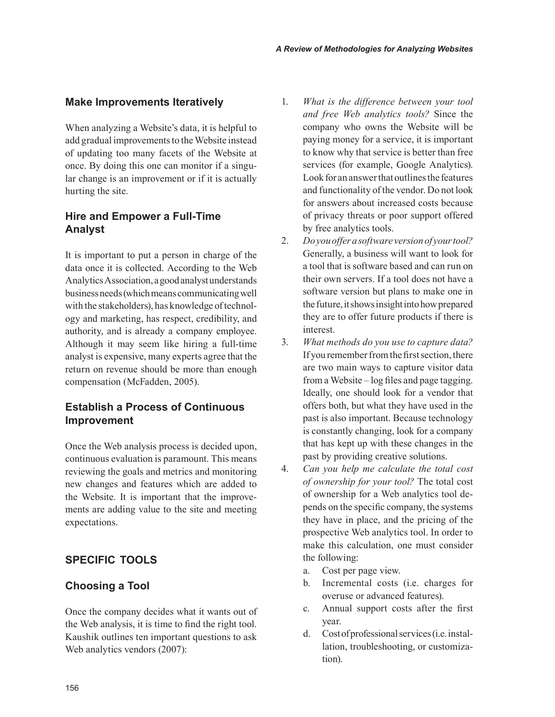### **Make Improvements Iteratively**

When analyzing a Website's data, it is helpful to add gradual improvements to the Website instead of updating too many facets of the Website at once. By doing this one can monitor if a singular change is an improvement or if it is actually hurting the site.

## **Hire and Empower a Full-Time Analyst**

It is important to put a person in charge of the data once it is collected. According to the Web Analytics Association, a good analyst understands business needs (which means communicating well with the stakeholders), has knowledge of technology and marketing, has respect, credibility, and authority, and is already a company employee. Although it may seem like hiring a full-time analyst is expensive, many experts agree that the return on revenue should be more than enough compensation (McFadden, 2005).

# **Establish a Process of Continuous Improvement**

Once the Web analysis process is decided upon, continuous evaluation is paramount. This means reviewing the goals and metrics and monitoring new changes and features which are added to the Website. It is important that the improvements are adding value to the site and meeting expectations.

# **SPECIFIC TOOLS**

# **Choosing a Tool**

Once the company decides what it wants out of the Web analysis, it is time to find the right tool. Kaushik outlines ten important questions to ask Web analytics vendors (2007):

- 1. *What is the difference between your tool and free Web analytics tools?* Since the company who owns the Website will be paying money for a service, it is important to know why that service is better than free services (for example, Google Analytics). Look for an answer that outlines the features and functionality of the vendor. Do not look for answers about increased costs because of privacy threats or poor support offered by free analytics tools.
- 2. *Do you offer a software version of your tool?* Generally, a business will want to look for a tool that is software based and can run on their own servers. If a tool does not have a software version but plans to make one in the future, it shows insight into how prepared they are to offer future products if there is interest.
- 3. *What methods do you use to capture data?* If you remember from the first section, there are two main ways to capture visitor data from a Website – log files and page tagging. Ideally, one should look for a vendor that offers both, but what they have used in the past is also important. Because technology is constantly changing, look for a company that has kept up with these changes in the past by providing creative solutions.
- 4. *Can you help me calculate the total cost of ownership for your tool?* The total cost of ownership for a Web analytics tool depends on the specific company, the systems they have in place, and the pricing of the prospective Web analytics tool. In order to make this calculation, one must consider the following:
	- a. Cost per page view.
	- b. Incremental costs (i.e. charges for overuse or advanced features).
	- c. Annual support costs after the first year.
	- d. Cost of professional services (i.e. installation, troubleshooting, or customization).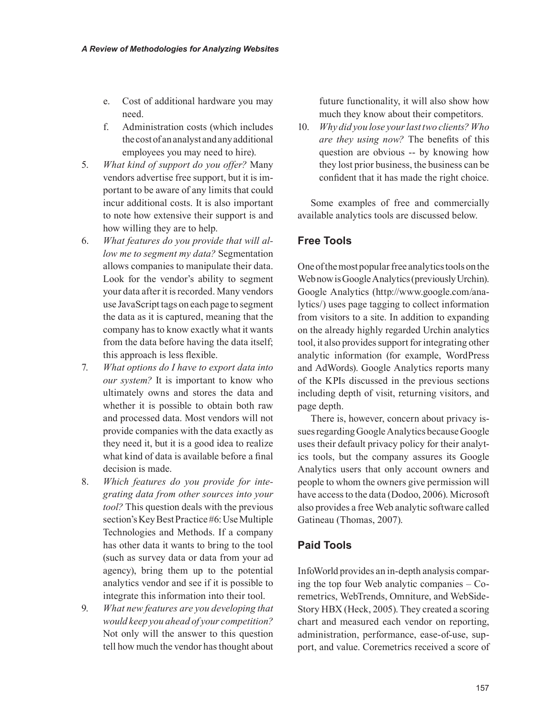- e. Cost of additional hardware you may need.
- f. Administration costs (which includes the cost of an analyst and any additional employees you may need to hire).
- 5. *What kind of support do you offer?* Many vendors advertise free support, but it is important to be aware of any limits that could incur additional costs. It is also important to note how extensive their support is and how willing they are to help.
- 6. *What features do you provide that will allow me to segment my data?* Segmentation allows companies to manipulate their data. Look for the vendor's ability to segment your data after it is recorded. Many vendors use JavaScript tags on each page to segment the data as it is captured, meaning that the company has to know exactly what it wants from the data before having the data itself; this approach is less flexible.
- 7. *What options do I have to export data into our system?* It is important to know who ultimately owns and stores the data and whether it is possible to obtain both raw and processed data. Most vendors will not provide companies with the data exactly as they need it, but it is a good idea to realize what kind of data is available before a final decision is made.
- 8. *Which features do you provide for integrating data from other sources into your tool?* This question deals with the previous section's Key Best Practice #6: Use Multiple Technologies and Methods. If a company has other data it wants to bring to the tool (such as survey data or data from your ad agency), bring them up to the potential analytics vendor and see if it is possible to integrate this information into their tool.
- 9. *What new features are you developing that would keep you ahead of your competition?* Not only will the answer to this question tell how much the vendor has thought about

future functionality, it will also show how much they know about their competitors.

10. *Why did you lose your last two clients? Who are they using now?* The benefits of this question are obvious -- by knowing how they lost prior business, the business can be confident that it has made the right choice.

Some examples of free and commercially available analytics tools are discussed below.

# **Free Tools**

One of the most popular free analytics tools on the Web now is Google Analytics (previously Urchin). Google Analytics (http://www.google.com/analytics/) uses page tagging to collect information from visitors to a site. In addition to expanding on the already highly regarded Urchin analytics tool, it also provides support for integrating other analytic information (for example, WordPress and AdWords). Google Analytics reports many of the KPIs discussed in the previous sections including depth of visit, returning visitors, and page depth.

There is, however, concern about privacy issues regarding Google Analytics because Google uses their default privacy policy for their analytics tools, but the company assures its Google Analytics users that only account owners and people to whom the owners give permission will have access to the data (Dodoo, 2006). Microsoft also provides a free Web analytic software called Gatineau (Thomas, 2007).

# **Paid Tools**

InfoWorld provides an in-depth analysis comparing the top four Web analytic companies – Coremetrics, WebTrends, Omniture, and WebSide-Story HBX (Heck, 2005). They created a scoring chart and measured each vendor on reporting, administration, performance, ease-of-use, support, and value. Coremetrics received a score of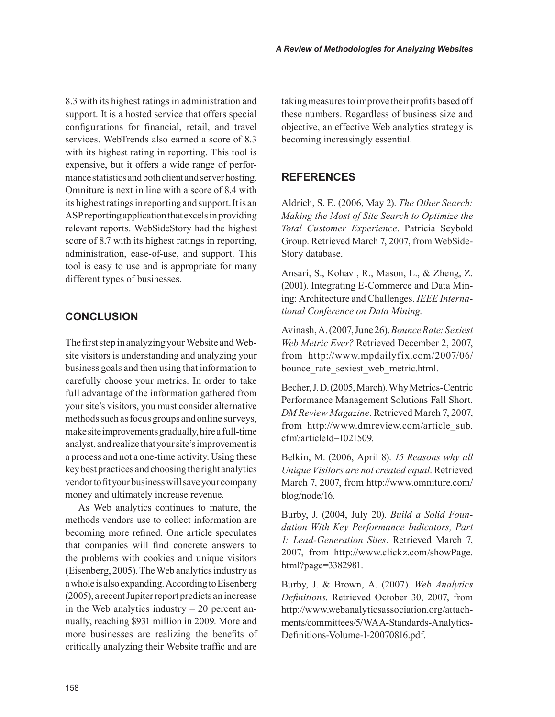8.3 with its highest ratings in administration and support. It is a hosted service that offers special configurations for financial, retail, and travel services. WebTrends also earned a score of 8.3 with its highest rating in reporting. This tool is expensive, but it offers a wide range of performance statistics and both client and server hosting. Omniture is next in line with a score of 8.4 with its highest ratings in reporting and support. It is an ASP reporting application that excels in providing relevant reports. WebSideStory had the highest score of 8.7 with its highest ratings in reporting, administration, ease-of-use, and support. This tool is easy to use and is appropriate for many different types of businesses.

## **CONCLUSION**

The first step in analyzing your Website and Website visitors is understanding and analyzing your business goals and then using that information to carefully choose your metrics. In order to take full advantage of the information gathered from your site's visitors, you must consider alternative methods such as focus groups and online surveys, make site improvements gradually, hire a full-time analyst, and realize that your site's improvement is a process and not a one-time activity. Using these key best practices and choosing the right analytics vendor to fit your business will save your company money and ultimately increase revenue.

As Web analytics continues to mature, the methods vendors use to collect information are becoming more refined. One article speculates that companies will find concrete answers to the problems with cookies and unique visitors (Eisenberg, 2005). The Web analytics industry as a whole is also expanding. According to Eisenberg (2005), a recent Jupiter report predicts an increase in the Web analytics industry  $-20$  percent annually, reaching \$931 million in 2009. More and more businesses are realizing the benefits of critically analyzing their Website traffic and are taking measures to improve their profits based off these numbers. Regardless of business size and objective, an effective Web analytics strategy is becoming increasingly essential.

# **REFERENCES**

Aldrich, S. E. (2006, May 2). *The Other Search: Making the Most of Site Search to Optimize the Total Customer Experience*. Patricia Seybold Group. Retrieved March 7, 2007, from WebSide-Story database.

Ansari, S., Kohavi, R., Mason, L., & Zheng, Z. (2001). Integrating E-Commerce and Data Mining: Architecture and Challenges. *IEEE International Conference on Data Mining*.

Avinash, A. (2007, June 26). *Bounce Rate: Sexiest Web Metric Ever?* Retrieved December 2, 2007, from http://www.mpdailyfix.com/2007/06/ bounce rate sexiest web metric.html.

Becher, J. D. (2005, March). Why Metrics-Centric Performance Management Solutions Fall Short. *DM Review Magazine*. Retrieved March 7, 2007, from http://www.dmreview.com/article\_sub. cfm?articleId=1021509.

Belkin, M. (2006, April 8). *15 Reasons why all Unique Visitors are not created equal*. Retrieved March 7, 2007, from http://www.omniture.com/ blog/node/16.

Burby, J. (2004, July 20). *Build a Solid Foundation With Key Performance Indicators, Part 1: Lead-Generation Sites*. Retrieved March 7, 2007, from http://www.clickz.com/showPage. html?page=3382981.

Burby, J. & Brown, A. (2007). *Web Analytics Definitions*. Retrieved October 30, 2007, from http://www.webanalyticsassociation.org/attachments/committees/5/WAA-Standards-Analytics-Definitions-Volume-I-20070816.pdf.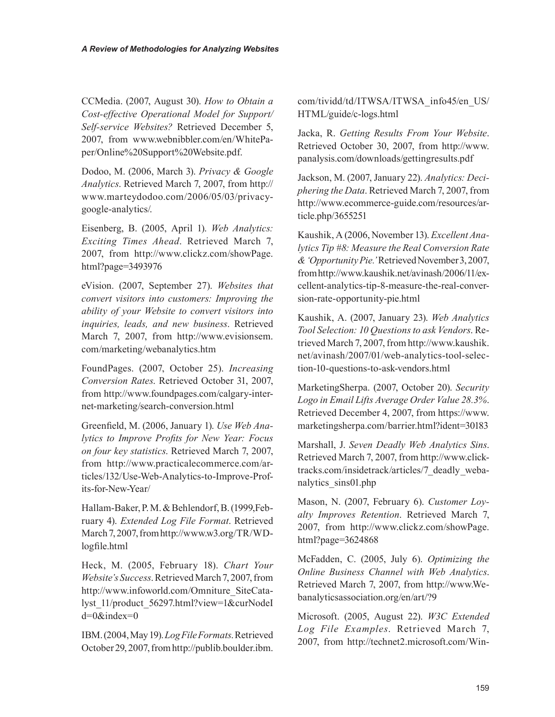CCMedia. (2007, August 30). *How to Obtain a Cost-effective Operational Model for Support/ Self-service Websites?* Retrieved December 5, 2007, from www.webnibbler.com/en/WhitePaper/Online%20Support%20Website.pdf.

Dodoo, M. (2006, March 3). *Privacy & Google Analytics*. Retrieved March 7, 2007, from http:// www.marteydodoo.com/2006/05/03/privacygoogle-analytics/.

Eisenberg, B. (2005, April 1). *Web Analytics: Exciting Times Ahead*. Retrieved March 7, 2007, from http://www.clickz.com/showPage. html?page=3493976

eVision. (2007, September 27). *Websites that convert visitors into customers: Improving the ability of your Website to convert visitors into inquiries, leads, and new business*. Retrieved March 7, 2007, from http://www.evisionsem. com/marketing/webanalytics.htm

FoundPages. (2007, October 25). *Increasing Conversion Rates*. Retrieved October 31, 2007, from http://www.foundpages.com/calgary-internet-marketing/search-conversion.html

Greenfield, M. (2006, January 1). *Use Web Analytics to Improve Profits for New Year: Focus on four key statistics*. Retrieved March 7, 2007, from http://www.practicalecommerce.com/articles/132/Use-Web-Analytics-to-Improve-Profits-for-New-Year/

Hallam-Baker, P. M. & Behlendorf, B. (1999,February 4). *Extended Log File Format*. Retrieved March 7, 2007, from http://www.w3.org/TR/WDlogfile.html

Heck, M. (2005, February 18). *Chart Your Website's Success*. Retrieved March 7, 2007, from http://www.infoworld.com/Omniture\_SiteCatalyst\_11/product\_56297.html?view=1&curNodeI d=0&index=0

IBM. (2004, May 19). *Log File Formats*. Retrieved October 29, 2007, from http://publib.boulder.ibm.

com/tividd/td/ITWSA/ITWSA\_info45/en\_US/ HTML/guide/c-logs.html

Jacka, R. *Getting Results From Your Website*. Retrieved October 30, 2007, from http://www. panalysis.com/downloads/gettingresults.pdf

Jackson, M. (2007, January 22). *Analytics: Deciphering the Data*. Retrieved March 7, 2007, from http://www.ecommerce-guide.com/resources/article.php/3655251

Kaushik, A (2006, November 13). *Excellent Analytics Tip #8: Measure the Real Conversion Rate & 'Opportunity Pie.'* Retrieved November 3, 2007, from http://www.kaushik.net/avinash/2006/11/excellent-analytics-tip-8-measure-the-real-conversion-rate-opportunity-pie.html

Kaushik, A. (2007, January 23). *Web Analytics Tool Selection: 10 Questions to ask Vendors*. Retrieved March 7, 2007, from http://www.kaushik. net/avinash/2007/01/web-analytics-tool-selection-10-questions-to-ask-vendors.html

MarketingSherpa. (2007, October 20). *Security Logo in Email Lifts Average Order Value 28.3%*. Retrieved December 4, 2007, from https://www. marketingsherpa.com/barrier.html?ident=30183

Marshall, J. *Seven Deadly Web Analytics Sins*. Retrieved March 7, 2007, from http://www.clicktracks.com/insidetrack/articles/7\_deadly\_webanalytics\_sins01.php

Mason, N. (2007, February 6). *Customer Loyalty Improves Retention*. Retrieved March 7, 2007, from http://www.clickz.com/showPage. html?page=3624868

McFadden, C. (2005, July 6). *Optimizing the Online Business Channel with Web Analytics*. Retrieved March 7, 2007, from http://www.Webanalyticsassociation.org/en/art/?9

Microsoft. (2005, August 22). *W3C Extended Log File Examples*. Retrieved March 7, 2007, from http://technet2.microsoft.com/Win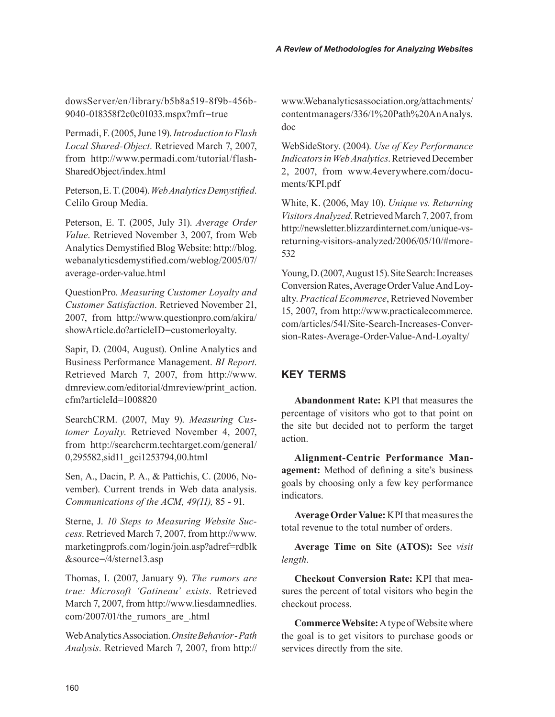dowsServer/en/library/b5b8a519-8f9b-456b-9040-018358f2c0c01033.mspx?mfr=true

Permadi, F. (2005, June 19). *Introduction to Flash Local Shared-Object*. Retrieved March 7, 2007, from http://www.permadi.com/tutorial/flash-SharedObject/index.html

Peterson, E. T. (2004). *Web Analytics Demystified*. Celilo Group Media.

Peterson, E. T. (2005, July 31). *Average Order Value*. Retrieved November 3, 2007, from Web Analytics Demystified Blog Website: http://blog. webanalyticsdemystified.com/weblog/2005/07/ average-order-value.html

QuestionPro. *Measuring Customer Loyalty and Customer Satisfaction*. Retrieved November 21, 2007, from http://www.questionpro.com/akira/ showArticle.do?articleID=customerloyalty.

Sapir, D. (2004, August). Online Analytics and Business Performance Management. *BI Report*. Retrieved March 7, 2007, from http://www. dmreview.com/editorial/dmreview/print\_action. cfm?articleId=1008820

SearchCRM. (2007, May 9). *Measuring Customer Loyalty*. Retrieved November 4, 2007, from http://searchcrm.techtarget.com/general/ 0,295582,sid11\_gci1253794,00.html

Sen, A., Dacin, P. A., & Pattichis, C. (2006, November). Current trends in Web data analysis. *Communications of the ACM, 49(11),* 85 - 91.

Sterne, J. *10 Steps to Measuring Website Success*. Retrieved March 7, 2007, from http://www. marketingprofs.com/login/join.asp?adref=rdblk &source=/4/sterne13.asp

Thomas, I. (2007, January 9). *The rumors are true: Microsoft 'Gatineau' exists*. Retrieved March 7, 2007, from http://www.liesdamnedlies. com/2007/01/the\_rumors\_are\_.html

Web Analytics Association. *Onsite Behavior - Path Analysis*. Retrieved March 7, 2007, from http:// www.Webanalyticsassociation.org/attachments/ contentmanagers/336/1%20Path%20AnAnalys. doc

WebSideStory. (2004). *Use of Key Performance Indicators in Web Analytics*. Retrieved December 2, 2007, from www.4everywhere.com/documents/KPI.pdf

White, K. (2006, May 10). *Unique vs. Returning Visitors Analyzed*. Retrieved March 7, 2007, from http://newsletter.blizzardinternet.com/unique-vsreturning-visitors-analyzed/2006/05/10/#more-532

Young, D. (2007, August 15). Site Search: Increases Conversion Rates, Average Order Value And Loyalty. *Practical Ecommerce*, Retrieved November 15, 2007, from http://www.practicalecommerce. com/articles/541/Site-Search-Increases-Conversion-Rates-Average-Order-Value-And-Loyalty/

# **KEY TERMS**

**Abandonment Rate:** KPI that measures the percentage of visitors who got to that point on the site but decided not to perform the target action.

**Alignment-Centric Performance Management:** Method of defining a site's business goals by choosing only a few key performance indicators.

**Average Order Value:** KPI that measures the total revenue to the total number of orders.

**Average Time on Site (ATOS):** See *visit length*.

**Checkout Conversion Rate:** KPI that measures the percent of total visitors who begin the checkout process.

**Commerce Website:** A type of Website where the goal is to get visitors to purchase goods or services directly from the site.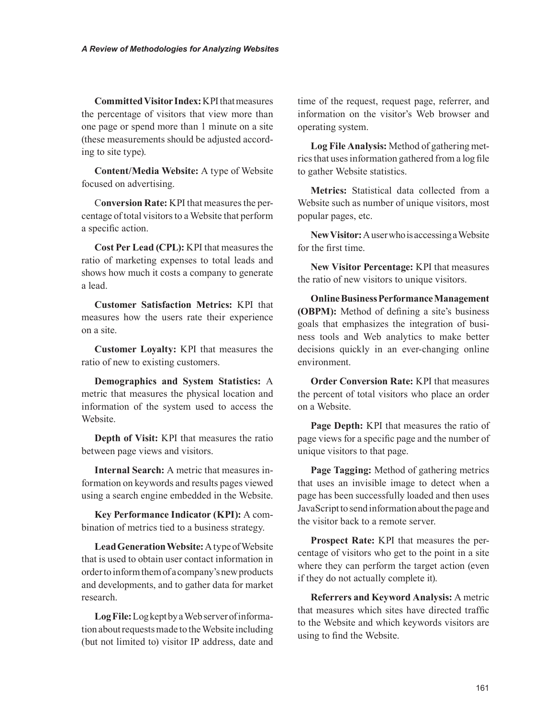**Committed Visitor Index:** KPI that measures the percentage of visitors that view more than one page or spend more than 1 minute on a site (these measurements should be adjusted according to site type).

**Content/Media Website:** A type of Website focused on advertising.

C**onversion Rate:** KPI that measures the percentage of total visitors to a Website that perform a specific action.

**Cost Per Lead (CPL):** KPI that measures the ratio of marketing expenses to total leads and shows how much it costs a company to generate a lead.

**Customer Satisfaction Metrics:** KPI that measures how the users rate their experience on a site.

**Customer Loyalty:** KPI that measures the ratio of new to existing customers.

**Demographics and System Statistics:** A metric that measures the physical location and information of the system used to access the **Website** 

**Depth of Visit:** KPI that measures the ratio between page views and visitors.

**Internal Search:** A metric that measures information on keywords and results pages viewed using a search engine embedded in the Website.

**Key Performance Indicator (KPI):** A combination of metrics tied to a business strategy.

**Lead Generation Website:** A type of Website that is used to obtain user contact information in order to inform them of a company's new products and developments, and to gather data for market research.

**Log File:** Log kept by a Web server of information about requests made to the Website including (but not limited to) visitor IP address, date and

time of the request, request page, referrer, and information on the visitor's Web browser and operating system.

**Log File Analysis:** Method of gathering metrics that uses information gathered from a log file to gather Website statistics.

**Metrics:** Statistical data collected from a Website such as number of unique visitors, most popular pages, etc.

**New Visitor:** A user who is accessing a Website for the first time.

**New Visitor Percentage:** KPI that measures the ratio of new visitors to unique visitors.

**Online Business Performance Management (OBPM):** Method of defining a site's business goals that emphasizes the integration of business tools and Web analytics to make better decisions quickly in an ever-changing online environment.

**Order Conversion Rate:** KPI that measures the percent of total visitors who place an order on a Website.

**Page Depth:** KPI that measures the ratio of page views for a specific page and the number of unique visitors to that page.

**Page Tagging:** Method of gathering metrics that uses an invisible image to detect when a page has been successfully loaded and then uses JavaScript to send information about the page and the visitor back to a remote server.

**Prospect Rate:** KPI that measures the percentage of visitors who get to the point in a site where they can perform the target action (even if they do not actually complete it).

**Referrers and Keyword Analysis:** A metric that measures which sites have directed traffic to the Website and which keywords visitors are using to find the Website.